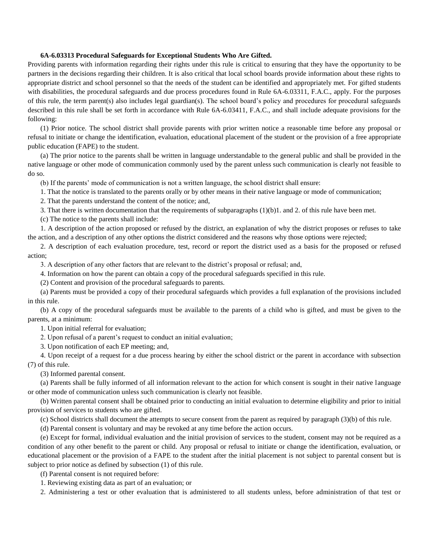## **6A-6.03313 Procedural Safeguards for Exceptional Students Who Are Gifted.**

Providing parents with information regarding their rights under this rule is critical to ensuring that they have the opportunity to be partners in the decisions regarding their children. It is also critical that local school boards provide information about these rights to appropriate district and school personnel so that the needs of the student can be identified and appropriately met. For gifted students with disabilities, the procedural safeguards and due process procedures found in Rule 6A-6.03311, F.A.C., apply. For the purposes of this rule, the term parent(s) also includes legal guardian(s). The school board's policy and procedures for procedural safeguards described in this rule shall be set forth in accordance with Rule 6A-6.03411, F.A.C., and shall include adequate provisions for the following:

(1) Prior notice. The school district shall provide parents with prior written notice a reasonable time before any proposal or refusal to initiate or change the identification, evaluation, educational placement of the student or the provision of a free appropriate public education (FAPE) to the student.

(a) The prior notice to the parents shall be written in language understandable to the general public and shall be provided in the native language or other mode of communication commonly used by the parent unless such communication is clearly not feasible to do so.

(b) If the parents' mode of communication is not a written language, the school district shall ensure:

1. That the notice is translated to the parents orally or by other means in their native language or mode of communication;

2. That the parents understand the content of the notice; and,

3. That there is written documentation that the requirements of subparagraphs (1)(b)1. and 2. of this rule have been met.

(c) The notice to the parents shall include:

1. A description of the action proposed or refused by the district, an explanation of why the district proposes or refuses to take the action, and a description of any other options the district considered and the reasons why those options were rejected;

2. A description of each evaluation procedure, test, record or report the district used as a basis for the proposed or refused action;

3. A description of any other factors that are relevant to the district's proposal or refusal; and,

4. Information on how the parent can obtain a copy of the procedural safeguards specified in this rule.

(2) Content and provision of the procedural safeguards to parents.

(a) Parents must be provided a copy of their procedural safeguards which provides a full explanation of the provisions included in this rule.

(b) A copy of the procedural safeguards must be available to the parents of a child who is gifted, and must be given to the parents, at a minimum:

1. Upon initial referral for evaluation;

2. Upon refusal of a parent's request to conduct an initial evaluation;

3. Upon notification of each EP meeting; and,

4. Upon receipt of a request for a due process hearing by either the school district or the parent in accordance with subsection (7) of this rule.

(3) Informed parental consent.

(a) Parents shall be fully informed of all information relevant to the action for which consent is sought in their native language or other mode of communication unless such communication is clearly not feasible.

(b) Written parental consent shall be obtained prior to conducting an initial evaluation to determine eligibility and prior to initial provision of services to students who are gifted.

(c) School districts shall document the attempts to secure consent from the parent as required by paragraph (3)(b) of this rule.

(d) Parental consent is voluntary and may be revoked at any time before the action occurs.

(e) Except for formal, individual evaluation and the initial provision of services to the student, consent may not be required as a condition of any other benefit to the parent or child. Any proposal or refusal to initiate or change the identification, evaluation, or educational placement or the provision of a FAPE to the student after the initial placement is not subject to parental consent but is subject to prior notice as defined by subsection (1) of this rule.

(f) Parental consent is not required before:

1. Reviewing existing data as part of an evaluation; or

2. Administering a test or other evaluation that is administered to all students unless, before administration of that test or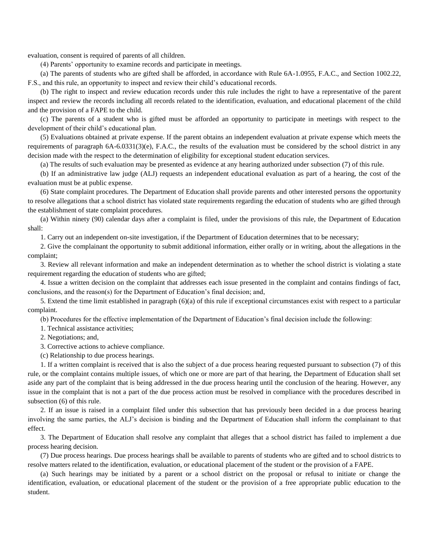evaluation, consent is required of parents of all children.

(4) Parents' opportunity to examine records and participate in meetings.

(a) The parents of students who are gifted shall be afforded, in accordance with Rule 6A-1.0955, F.A.C., and Section 1002.22, F.S., and this rule, an opportunity to inspect and review their child's educational records.

(b) The right to inspect and review education records under this rule includes the right to have a representative of the parent inspect and review the records including all records related to the identification, evaluation, and educational placement of the child and the provision of a FAPE to the child.

(c) The parents of a student who is gifted must be afforded an opportunity to participate in meetings with respect to the development of their child's educational plan.

(5) Evaluations obtained at private expense. If the parent obtains an independent evaluation at private expense which meets the requirements of paragraph  $6A-6.0331(3)(e)$ , F.A.C., the results of the evaluation must be considered by the school district in any decision made with the respect to the determination of eligibility for exceptional student education services.

(a) The results of such evaluation may be presented as evidence at any hearing authorized under subsection (7) of this rule.

(b) If an administrative law judge (ALJ) requests an independent educational evaluation as part of a hearing, the cost of the evaluation must be at public expense.

(6) State complaint procedures. The Department of Education shall provide parents and other interested persons the opportunity to resolve allegations that a school district has violated state requirements regarding the education of students who are gifted through the establishment of state complaint procedures.

(a) Within ninety (90) calendar days after a complaint is filed, under the provisions of this rule, the Department of Education shall:

1. Carry out an independent on-site investigation, if the Department of Education determines that to be necessary;

2. Give the complainant the opportunity to submit additional information, either orally or in writing, about the allegations in the complaint;

3. Review all relevant information and make an independent determination as to whether the school district is violating a state requirement regarding the education of students who are gifted;

4. Issue a written decision on the complaint that addresses each issue presented in the complaint and contains findings of fact, conclusions, and the reason(s) for the Department of Education's final decision; and,

5. Extend the time limit established in paragraph (6)(a) of this rule if exceptional circumstances exist with respect to a particular complaint.

(b) Procedures for the effective implementation of the Department of Education's final decision include the following:

1. Technical assistance activities;

2. Negotiations; and,

3. Corrective actions to achieve compliance.

(c) Relationship to due process hearings.

1. If a written complaint is received that is also the subject of a due process hearing requested pursuant to subsection (7) of this rule, or the complaint contains multiple issues, of which one or more are part of that hearing, the Department of Education shall set aside any part of the complaint that is being addressed in the due process hearing until the conclusion of the hearing. However, any issue in the complaint that is not a part of the due process action must be resolved in compliance with the procedures described in subsection (6) of this rule.

2. If an issue is raised in a complaint filed under this subsection that has previously been decided in a due process hearing involving the same parties, the ALJ's decision is binding and the Department of Education shall inform the complainant to that effect.

3. The Department of Education shall resolve any complaint that alleges that a school district has failed to implement a due process hearing decision.

(7) Due process hearings. Due process hearings shall be available to parents of students who are gifted and to school districts to resolve matters related to the identification, evaluation, or educational placement of the student or the provision of a FAPE.

(a) Such hearings may be initiated by a parent or a school district on the proposal or refusal to initiate or change the identification, evaluation, or educational placement of the student or the provision of a free appropriate public education to the student.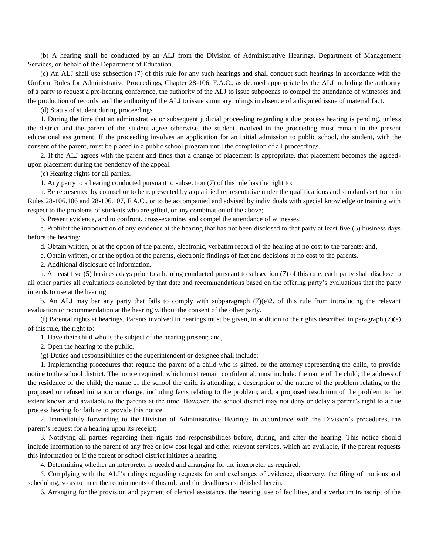(b) A hearing shall be conducted by an ALJ from the Division of Administrative Hearings, Department of Management Services, on behalf of the Department of Education.

(c) An ALJ shall use subsection (7) of this rule for any such hearings and shall conduct such hearings in accordance with the Uniform Rules for Administrative Proceedings, Chapter 28-106, F.A.C., as deemed appropriate by the ALJ including the authority of a party to request a pre-hearing conference, the authority of the ALJ to issue subpoenas to compel the attendance of witnesses and the production of records, and the authority of the ALJ to issue summary rulings in absence of a disputed issue of material fact.

(d) Status of student during proceedings.

1. During the time that an administrative or subsequent judicial proceeding regarding a due process hearing is pending, unless the district and the parent of the student agree otherwise, the student involved in the proceeding must remain in the present educational assignment. If the proceeding involves an application for an initial admission to public school, the student, with the consent of the parent, must be placed in a public school program until the completion of all proceedings.

2. If the ALJ agrees with the parent and finds that a change of placement is appropriate, that placement becomes the agreedupon placement during the pendency of the appeal.

(e) Hearing rights for all parties.

1. Any party to a hearing conducted pursuant to subsection (7) of this rule has the right to:

a. Be represented by counsel or to be represented by a qualified representative under the qualifications and standards set forth in Rules 28-106.106 and 28-106.107, F.A.C., or to be accompanied and advised by individuals with special knowledge or training with respect to the problems of students who are gifted, or any combination of the above;

b. Present evidence, and to confront, cross-examine, and compel the attendance of witnesses;

c. Prohibit the introduction of any evidence at the hearing that has not been disclosed to that party at least five (5) business days before the hearing;

d. Obtain written, or at the option of the parents, electronic, verbatim record of the hearing at no cost to the parents; and,

e. Obtain written, or at the option of the parents, electronic findings of fact and decisions at no cost to the parents.

2. Additional disclosure of information.

a. At least five (5) business days prior to a hearing conducted pursuant to subsection (7) of this rule, each party shall disclose to all other parties all evaluations completed by that date and recommendations based on the offering party's evaluations that the party intends to use at the hearing.

b. An ALJ may bar any party that fails to comply with subparagraph  $(7)(e)$ ? of this rule from introducing the relevant evaluation or recommendation at the hearing without the consent of the other party.

(f) Parental rights at hearings. Parents involved in hearings must be given, in addition to the rights described in paragraph (7)(e) of this rule, the right to:

1. Have their child who is the subject of the hearing present; and,

2. Open the hearing to the public.

(g) Duties and responsibilities of the superintendent or designee shall include:

1. Implementing procedures that require the parent of a child who is gifted, or the attorney representing the child, to provide notice to the school district. The notice required, which must remain confidential, must include: the name of the child; the address of the residence of the child; the name of the school the child is attending; a description of the nature of the problem relating to the proposed or refused initiation or change, including facts relating to the problem; and, a proposed resolution of the problem to the extent known and available to the parents at the time. However, the school district may not deny or delay a parent's right to a due process hearing for failure to provide this notice.

2. Immediately forwarding to the Division of Administrative Hearings in accordance with the Division's procedures, the parent's request for a hearing upon its receipt;

3. Notifying all parties regarding their rights and responsibilities before, during, and after the hearing. This notice should include information to the parent of any free or low cost legal and other relevant services, which are available, if the parent requests this information or if the parent or school district initiates a hearing.

4. Determining whether an interpreter is needed and arranging for the interpreter as required;

5. Complying with the ALJ's rulings regarding requests for and exchanges of evidence, discovery, the filing of motions and scheduling, so as to meet the requirements of this rule and the deadlines established herein.

6. Arranging for the provision and payment of clerical assistance, the hearing, use of facilities, and a verbatim transcript of the